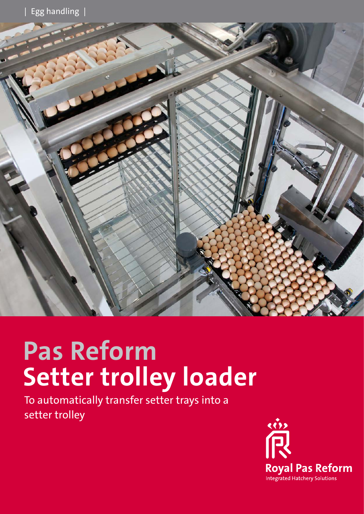

# **Pas Reform Setter trolley loader**

To automatically transfer setter trays into a setter trolley